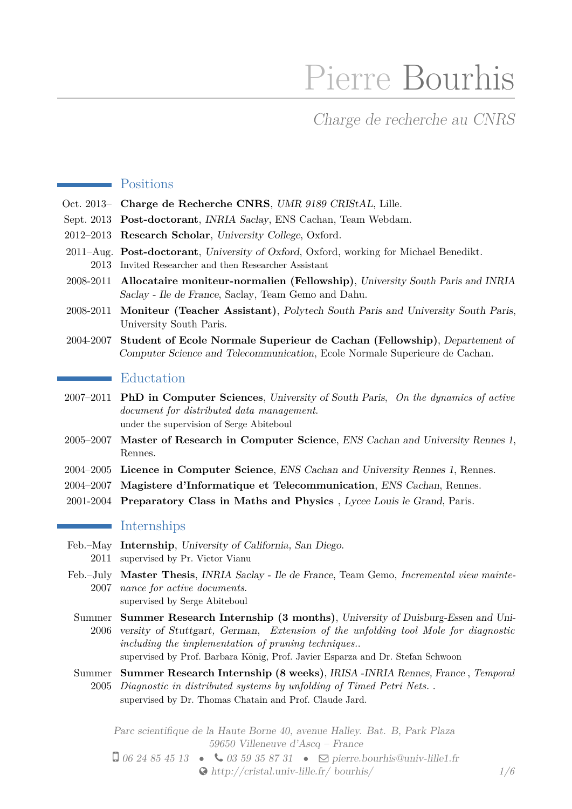# Pierre Bourhis

# Charge de recherche au CNRS

## **Positions**

- Oct. 2013– **Charge de Recherche CNRS**, UMR 9189 CRIStAL, Lille.
- Sept. 2013 **Post-doctorant**, INRIA Saclay, ENS Cachan, Team Webdam.
- 2012–2013 **Research Scholar**, University College, Oxford.
- 2011–Aug. **Post-doctorant**, University of Oxford, Oxford, working for Michael Benedikt. 2013 Invited Researcher and then Researcher Assistant
- 2008-2011 **Allocataire moniteur-normalien (Fellowship)**, University South Paris and INRIA Saclay - Ile de France, Saclay, Team Gemo and Dahu.
- 2008-2011 **Moniteur (Teacher Assistant)**, Polytech South Paris and University South Paris, University South Paris.
- 2004-2007 **Student of Ecole Normale Superieur de Cachan (Fellowship)**, Departement of Computer Science and Telecommunication, Ecole Normale Superieure de Cachan.

# Eductation

- 2007–2011 **PhD in Computer Sciences**, University of South Paris, *On the dynamics of active document for distributed data management*. under the supervision of Serge Abiteboul
- 2005–2007 **Master of Research in Computer Science**, ENS Cachan and University Rennes 1, Rennes.
- 2004–2005 **Licence in Computer Science**, ENS Cachan and University Rennes 1, Rennes.
- 2004–2007 **Magistere d'Informatique et Telecommunication**, ENS Cachan, Rennes.
- 2001-2004 **Preparatory Class in Maths and Physics** , Lycee Louis le Grand, Paris.

# **Internships**

- Feb.–May **Internship**, University of California, San Diego.
	- 2011 supervised by Pr. Victor Vianu
- Feb.–July **Master Thesis**, INRIA Saclay Ile de France, Team Gemo, *Incremental view mainte-*2007 *nance for active documents*. supervised by Serge Abiteboul
	- Summer **Summer Research Internship (3 months)**, University of Duisburg-Essen and Uni-2006 versity of Stuttgart, German, *Extension of the unfolding tool Mole for diagnostic including the implementation of pruning techniques.*. supervised by Prof. Barbara König, Prof. Javier Esparza and Dr. Stefan Schwoon
	- Summer **Summer Research Internship (8 weeks)**, IRISA -INRIA Rennes, France , *Temporal* 2005 *Diagnostic in distributed systems by unfolding of Timed Petri Nets.* . supervised by Dr. Thomas Chatain and Prof. Claude Jard.

Parc scientifique de la Haute Borne 40, avenue Halley. Bat. B, Park Plaza 59650 Villeneuve d'Ascq – France

 $\Box$  06 24 85 45 13 •  $\bigcirc$  03 59 35 87 31 •  $\Box$  [pierre.bourhis@univ-lille1.fr](mailto:pierre.bourhis@univ-lille1.fr) [http://cristal.univ-lille.fr/ bourhis/](http://http://cristal.univ-lille.fr/~bourhis/) *1[/6](#page-2-0)*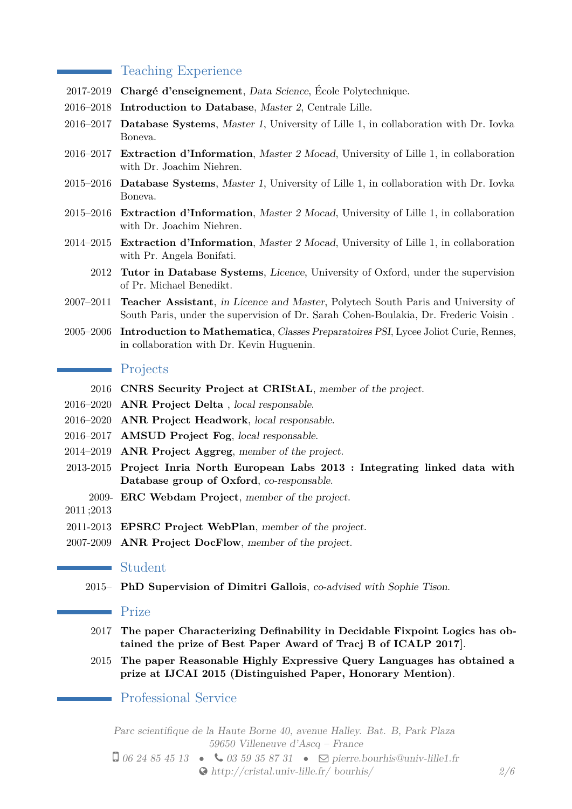# Teaching Experience

- 2017-2019 **Chargé d'enseignement**, Data Science, École Polytechnique.
- 2016–2018 **Introduction to Database**, Master 2, Centrale Lille.
- 2016–2017 **Database Systems**, Master 1, University of Lille 1, in collaboration with Dr. Iovka Boneva.
- 2016–2017 **Extraction d'Information**, Master 2 Mocad, University of Lille 1, in collaboration with Dr. Joachim Niehren.
- 2015–2016 **Database Systems**, Master 1, University of Lille 1, in collaboration with Dr. Iovka Boneva.
- 2015–2016 **Extraction d'Information**, Master 2 Mocad, University of Lille 1, in collaboration with Dr. Joachim Niehren.
- 2014–2015 **Extraction d'Information**, Master 2 Mocad, University of Lille 1, in collaboration with Pr. Angela Bonifati.
	- 2012 **Tutor in Database Systems**, Licence, University of Oxford, under the supervision of Pr. Michael Benedikt.
- 2007–2011 **Teacher Assistant**, in Licence and Master, Polytech South Paris and University of South Paris, under the supervision of Dr. Sarah Cohen-Boulakia, Dr. Frederic Voisin .
- 2005–2006 **Introduction to Mathematica**, Classes Preparatoires PSI, Lycee Joliot Curie, Rennes, in collaboration with Dr. Kevin Huguenin.

#### **Projects**

- 2016 **CNRS Security Project at CRIStAL**, member of the project.
- 2016–2020 **ANR Project Delta** , local responsable.
- 2016–2020 **ANR Project Headwork**, local responsable.
- 2016–2017 **AMSUD Project Fog**, local responsable.
- 2014–2019 **ANR Project Aggreg**, member of the project.
- 2013-2015 **Project Inria North European Labs 2013 : Integrating linked data with Database group of Oxford**, co-responsable.
	- 2009- **ERC Webdam Project**, member of the project.
- 2011 ;2013

 $\sim$ 

- 2011-2013 **EPSRC Project WebPlan**, member of the project.
- 2007-2009 **ANR Project DocFlow**, member of the project.

#### Student

2015– **PhD Supervision of Dimitri Gallois**, co-advised with Sophie Tison.

### Prize

- 2017 **The paper Characterizing Definability in Decidable Fixpoint Logics has obtained the prize of Best Paper Award of Tracj B of ICALP 2017]**.
- 2015 **The paper Reasonable Highly Expressive Query Languages has obtained a prize at IJCAI 2015 (Distinguished Paper, Honorary Mention)**.

# Professional Service

Parc scientifique de la Haute Borne 40, avenue Halley. Bat. B, Park Plaza 59650 Villeneuve d'Ascq – France

 $\Box$  06 24 85 45 13 •  $\bigcirc$  03 59 35 87 31 •  $\Box$  [pierre.bourhis@univ-lille1.fr](mailto:pierre.bourhis@univ-lille1.fr) [http://cristal.univ-lille.fr/ bourhis/](http://http://cristal.univ-lille.fr/~bourhis/) *2[/6](#page-2-0)*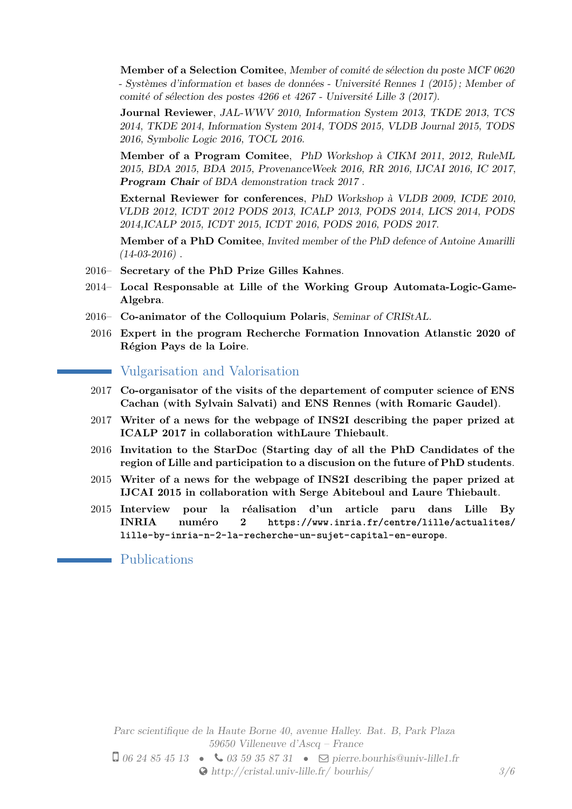**Member of a Selection Comitee**, Member of comité de sélection du poste MCF 0620 - Systèmes d'information et bases de données - Université Rennes 1 (2015) ; Member of comité of sélection des postes 4266 et 4267 - Université Lille 3 (2017).

**Journal Reviewer**, JAL-WWV 2010, Information System 2013, TKDE 2013, TCS 2014, TKDE 2014, Information System 2014, TODS 2015, VLDB Journal 2015, TODS 2016, Symbolic Logic 2016, TOCL 2016.

**Member of a Program Comitee**, PhD Workshop à CIKM 2011, 2012, RuleML 2015, BDA 2015, BDA 2015, ProvenanceWeek 2016, RR 2016, IJCAI 2016, IC 2017, **Program Chair** of BDA demonstration track 2017 .

**External Reviewer for conferences**, PhD Workshop à VLDB 2009, ICDE 2010, VLDB 2012, ICDT 2012 PODS 2013, ICALP 2013, PODS 2014, LICS 2014, PODS 2014,ICALP 2015, ICDT 2015, ICDT 2016, PODS 2016, PODS 2017.

**Member of a PhD Comitee**, Invited member of the PhD defence of Antoine Amarilli  $(14-03-2016)$ .

- 2016– **Secretary of the PhD Prize Gilles Kahnes**.
- 2014– **Local Responsable at Lille of the Working Group Automata-Logic-Game-Algebra**.
- 2016– **Co-animator of the Colloquium Polaris**, Seminar of CRIStAL.
- 2016 **Expert in the program Recherche Formation Innovation Atlanstic 2020 of Région Pays de la Loire**.

Vulgarisation and Valorisation

- 2017 **Co-organisator of the visits of the departement of computer science of ENS Cachan (with Sylvain Salvati) and ENS Rennes (with Romaric Gaudel)**.
- 2017 **Writer of a news for the webpage of INS2I describing the paper prized at ICALP 2017 in collaboration withLaure Thiebault**.
- 2016 **Invitation to the StarDoc (Starting day of all the PhD Candidates of the region of Lille and participation to a discusion on the future of PhD students**.
- 2015 **Writer of a news for the webpage of INS2I describing the paper prized at IJCAI 2015 in collaboration with Serge Abiteboul and Laure Thiebault**.
- 2015 **Interview pour la réalisation d'un article paru dans Lille By INRIA numéro 2 [https://www.inria.fr/centre/lille/actualites/](https://www.inria. fr/centre/lille/actualites/lille-by-inria-n-2-la-recherche-un-sujet-capital-en-europe) [lille-by-inria-n-2-la-recherche-un-sujet-capital-en-europe](https://www.inria. fr/centre/lille/actualites/lille-by-inria-n-2-la-recherche-un-sujet-capital-en-europe)**.

<span id="page-2-0"></span>Publications

Parc scientifique de la Haute Borne 40, avenue Halley. Bat. B, Park Plaza 59650 Villeneuve d'Ascq – France  $\Box$  06 24 85 45 13 •  $\bigcirc$  03 59 35 87 31 •  $\Box$  [pierre.bourhis@univ-lille1.fr](mailto:pierre.bourhis@univ-lille1.fr) [http://cristal.univ-lille.fr/ bourhis/](http://http://cristal.univ-lille.fr/~bourhis/) *3[/6](#page-2-0)*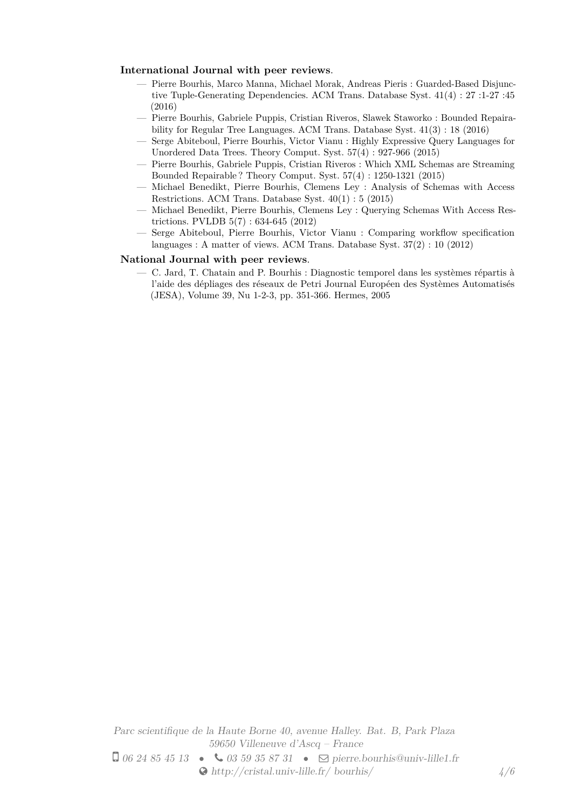#### **International Journal with peer reviews**.

- Pierre Bourhis, Marco Manna, Michael Morak, Andreas Pieris : Guarded-Based Disjunctive Tuple-Generating Dependencies. ACM Trans. Database Syst. 41(4) : 27 :1-27 :45 (2016)
- Pierre Bourhis, Gabriele Puppis, Cristian Riveros, Slawek Staworko : Bounded Repairability for Regular Tree Languages. ACM Trans. Database Syst. 41(3) : 18 (2016)
- Serge Abiteboul, Pierre Bourhis, Victor Vianu : Highly Expressive Query Languages for Unordered Data Trees. Theory Comput. Syst. 57(4) : 927-966 (2015)
- Pierre Bourhis, Gabriele Puppis, Cristian Riveros : Which XML Schemas are Streaming Bounded Repairable ? Theory Comput. Syst. 57(4) : 1250-1321 (2015)
- Michael Benedikt, Pierre Bourhis, Clemens Ley : Analysis of Schemas with Access Restrictions. ACM Trans. Database Syst. 40(1) : 5 (2015)
- Michael Benedikt, Pierre Bourhis, Clemens Ley : Querying Schemas With Access Restrictions. PVLDB 5(7) : 634-645 (2012)
- Serge Abiteboul, Pierre Bourhis, Victor Vianu : Comparing workflow specification languages : A matter of views. ACM Trans. Database Syst. 37(2) : 10 (2012)

#### **National Journal with peer reviews**.

— C. Jard, T. Chatain and P. Bourhis : Diagnostic temporel dans les systèmes répartis à l'aide des dépliages des réseaux de Petri Journal Européen des Systèmes Automatisés (JESA), Volume 39, Nu 1-2-3, pp. 351-366. Hermes, 2005

Parc scientifique de la Haute Borne 40, avenue Halley. Bat. B, Park Plaza 59650 Villeneuve d'Ascq – France  $\Box$  06 24 85 45 13 •  $\bigcirc$  03 59 35 87 31 •  $\Box$  [pierre.bourhis@univ-lille1.fr](mailto:pierre.bourhis@univ-lille1.fr)  $\bullet$  [http://cristal.univ-lille.fr/ bourhis/](http://http://cristal.univ-lille.fr/~bourhis/)  $\frac{4}{6}$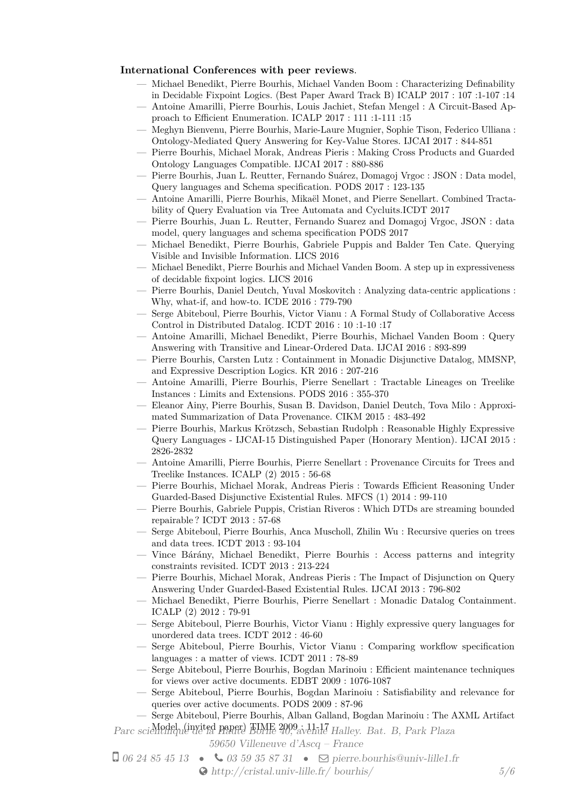#### **International Conferences with peer reviews**.

- Michael Benedikt, Pierre Bourhis, Michael Vanden Boom : Characterizing Definability in Decidable Fixpoint Logics. (Best Paper Award Track B) ICALP 2017 : 107 :1-107 :14
- Antoine Amarilli, Pierre Bourhis, Louis Jachiet, Stefan Mengel : A Circuit-Based Approach to Efficient Enumeration. ICALP 2017 : 111 :1-111 :15
- Meghyn Bienvenu, Pierre Bourhis, Marie-Laure Mugnier, Sophie Tison, Federico Ulliana : Ontology-Mediated Query Answering for Key-Value Stores. IJCAI 2017 : 844-851
- Pierre Bourhis, Michael Morak, Andreas Pieris : Making Cross Products and Guarded Ontology Languages Compatible. IJCAI 2017 : 880-886
- Pierre Bourhis, Juan L. Reutter, Fernando Suárez, Domagoj Vrgoc : JSON : Data model, Query languages and Schema specification. PODS 2017 : 123-135
- Antoine Amarilli, Pierre Bourhis, Mikaël Monet, and Pierre Senellart. Combined Tractability of Query Evaluation via Tree Automata and Cycluits.ICDT 2017
- Pierre Bourhis, Juan L. Reutter, Fernando Suarez and Domagoj Vrgoc, JSON : data model, query languages and schema specification PODS 2017
- Michael Benedikt, Pierre Bourhis, Gabriele Puppis and Balder Ten Cate. Querying Visible and Invisible Information. LICS 2016
- Michael Benedikt, Pierre Bourhis and Michael Vanden Boom. A step up in expressiveness of decidable fixpoint logics. LICS 2016
- Pierre Bourhis, Daniel Deutch, Yuval Moskovitch : Analyzing data-centric applications : Why, what-if, and how-to. ICDE 2016 : 779-790
- Serge Abiteboul, Pierre Bourhis, Victor Vianu : A Formal Study of Collaborative Access Control in Distributed Datalog. ICDT 2016 : 10 :1-10 :17
- Antoine Amarilli, Michael Benedikt, Pierre Bourhis, Michael Vanden Boom : Query Answering with Transitive and Linear-Ordered Data. IJCAI 2016 : 893-899
- Pierre Bourhis, Carsten Lutz : Containment in Monadic Disjunctive Datalog, MMSNP, and Expressive Description Logics. KR 2016 : 207-216
- Antoine Amarilli, Pierre Bourhis, Pierre Senellart : Tractable Lineages on Treelike Instances : Limits and Extensions. PODS 2016 : 355-370
- Eleanor Ainy, Pierre Bourhis, Susan B. Davidson, Daniel Deutch, Tova Milo : Approximated Summarization of Data Provenance. CIKM 2015 : 483-492
- Pierre Bourhis, Markus Krötzsch, Sebastian Rudolph : Reasonable Highly Expressive Query Languages - IJCAI-15 Distinguished Paper (Honorary Mention). IJCAI 2015 : 2826-2832
- Antoine Amarilli, Pierre Bourhis, Pierre Senellart : Provenance Circuits for Trees and Treelike Instances. ICALP (2) 2015 : 56-68
- Pierre Bourhis, Michael Morak, Andreas Pieris : Towards Efficient Reasoning Under Guarded-Based Disjunctive Existential Rules. MFCS (1) 2014 : 99-110
- Pierre Bourhis, Gabriele Puppis, Cristian Riveros : Which DTDs are streaming bounded repairable ? ICDT 2013 : 57-68
- Serge Abiteboul, Pierre Bourhis, Anca Muscholl, Zhilin Wu : Recursive queries on trees and data trees. ICDT 2013 : 93-104
- Vince Bárány, Michael Benedikt, Pierre Bourhis : Access patterns and integrity constraints revisited. ICDT 2013 : 213-224
- Pierre Bourhis, Michael Morak, Andreas Pieris : The Impact of Disjunction on Query Answering Under Guarded-Based Existential Rules. IJCAI 2013 : 796-802
- Michael Benedikt, Pierre Bourhis, Pierre Senellart : Monadic Datalog Containment. ICALP (2) 2012 : 79-91
- Serge Abiteboul, Pierre Bourhis, Victor Vianu : Highly expressive query languages for unordered data trees. ICDT 2012 : 46-60
- Serge Abiteboul, Pierre Bourhis, Victor Vianu : Comparing workflow specification languages : a matter of views. ICDT 2011 : 78-89
- Serge Abiteboul, Pierre Bourhis, Bogdan Marinoiu : Efficient maintenance techniques for views over active documents. EDBT 2009 : 1076-1087
- Serge Abiteboul, Pierre Bourhis, Bogdan Marinoiu : Satisfiability and relevance for queries over active documents. PODS 2009 : 87-96
- Serge Abiteboul, Pierre Bourhis, Alban Galland, Bogdan Marinoiu : The AXML Artifact

Parc scientifique de la Paper) TIME 2009; 11-17 Halley. Bat. B, Park Plaza

59650 Villeneuve d'Ascq – France

 $\Box$  06 24 85 45 13 •  $\bigcirc$  03 59 35 87 31 •  $\Box$  [pierre.bourhis@univ-lille1.fr](mailto:pierre.bourhis@univ-lille1.fr) [http://cristal.univ-lille.fr/ bourhis/](http://http://cristal.univ-lille.fr/~bourhis/) *5[/6](#page-2-0)*